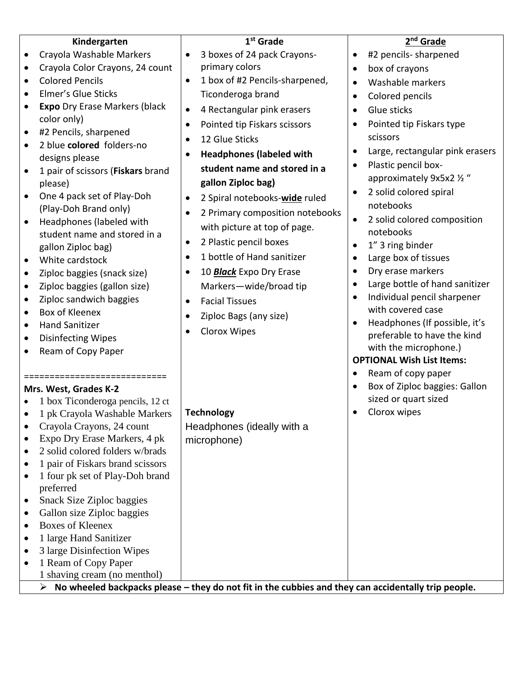|                       | Kindergarten                                                                                             | 1 <sup>st</sup> Grade                        |           | 2 <sup>nd</sup> Grade            |  |  |
|-----------------------|----------------------------------------------------------------------------------------------------------|----------------------------------------------|-----------|----------------------------------|--|--|
| ٠                     | Crayola Washable Markers                                                                                 | 3 boxes of 24 pack Crayons-                  |           | #2 pencils- sharpened            |  |  |
|                       | Crayola Color Crayons, 24 count                                                                          | primary colors                               | $\bullet$ | box of crayons                   |  |  |
|                       | <b>Colored Pencils</b>                                                                                   | 1 box of #2 Pencils-sharpened,<br>$\bullet$  | $\bullet$ | Washable markers                 |  |  |
|                       | Elmer's Glue Sticks                                                                                      | Ticonderoga brand                            |           | Colored pencils                  |  |  |
|                       | <b>Expo</b> Dry Erase Markers (black                                                                     | 4 Rectangular pink erasers<br>$\bullet$      | $\bullet$ | Glue sticks                      |  |  |
|                       | color only)                                                                                              | Pointed tip Fiskars scissors<br>$\bullet$    | $\bullet$ | Pointed tip Fiskars type         |  |  |
|                       | #2 Pencils, sharpened                                                                                    | 12 Glue Sticks<br>$\bullet$                  |           | scissors                         |  |  |
|                       | 2 blue colored folders-no                                                                                |                                              |           | Large, rectangular pink erasers  |  |  |
|                       | designs please                                                                                           | <b>Headphones (labeled with</b><br>$\bullet$ | $\bullet$ | Plastic pencil box-              |  |  |
| $\bullet$             | 1 pair of scissors (Fiskars brand                                                                        | student name and stored in a                 |           | approximately 9x5x2 1/2 "        |  |  |
|                       | please)                                                                                                  | gallon Ziploc bag)                           | $\bullet$ | 2 solid colored spiral           |  |  |
|                       | One 4 pack set of Play-Doh                                                                               | 2 Spiral notebooks-wide ruled                |           | notebooks                        |  |  |
|                       | (Play-Doh Brand only)                                                                                    | 2 Primary composition notebooks              | $\bullet$ | 2 solid colored composition      |  |  |
| $\bullet$             | Headphones (labeled with                                                                                 | with picture at top of page.                 |           | notebooks                        |  |  |
|                       | student name and stored in a                                                                             | 2 Plastic pencil boxes<br>$\bullet$          | $\bullet$ | 1" 3 ring binder                 |  |  |
|                       | gallon Ziploc bag)<br>White cardstock                                                                    | 1 bottle of Hand sanitizer<br>$\bullet$      | $\bullet$ | Large box of tissues             |  |  |
|                       | Ziploc baggies (snack size)                                                                              | 10 <b>Black</b> Expo Dry Erase<br>$\bullet$  |           | Dry erase markers                |  |  |
| $\bullet$             | Ziploc baggies (gallon size)                                                                             | Markers-wide/broad tip                       |           | Large bottle of hand sanitizer   |  |  |
|                       | Ziploc sandwich baggies                                                                                  | <b>Facial Tissues</b>                        | $\bullet$ | Individual pencil sharpener      |  |  |
|                       | Box of Kleenex                                                                                           |                                              |           | with covered case                |  |  |
|                       | <b>Hand Sanitizer</b>                                                                                    | Ziploc Bags (any size)                       | $\bullet$ | Headphones (If possible, it's    |  |  |
| $\bullet$             | <b>Disinfecting Wipes</b>                                                                                | Clorox Wipes                                 |           | preferable to have the kind      |  |  |
|                       | Ream of Copy Paper                                                                                       |                                              |           | with the microphone.)            |  |  |
|                       |                                                                                                          |                                              |           | <b>OPTIONAL Wish List Items:</b> |  |  |
|                       | =======================                                                                                  |                                              | $\bullet$ | Ream of copy paper               |  |  |
| Mrs. West, Grades K-2 |                                                                                                          |                                              | $\bullet$ | Box of Ziploc baggies: Gallon    |  |  |
|                       | 1 box Ticonderoga pencils, 12 ct                                                                         |                                              |           | sized or quart sized             |  |  |
|                       | 1 pk Crayola Washable Markers                                                                            | <b>Technology</b>                            |           | Clorox wipes                     |  |  |
|                       | Crayola Crayons, 24 count                                                                                | Headphones (ideally with a                   |           |                                  |  |  |
|                       | Expo Dry Erase Markers, 4 pk                                                                             | microphone)                                  |           |                                  |  |  |
|                       | 2 solid colored folders w/brads                                                                          |                                              |           |                                  |  |  |
|                       | 1 pair of Fiskars brand scissors                                                                         |                                              |           |                                  |  |  |
| ٠                     | 1 four pk set of Play-Doh brand<br>preferred                                                             |                                              |           |                                  |  |  |
| $\bullet$             | <b>Snack Size Ziploc baggies</b>                                                                         |                                              |           |                                  |  |  |
|                       | Gallon size Ziploc baggies                                                                               |                                              |           |                                  |  |  |
| ٠                     | <b>Boxes of Kleenex</b>                                                                                  |                                              |           |                                  |  |  |
| ٠                     | 1 large Hand Sanitizer                                                                                   |                                              |           |                                  |  |  |
|                       | 3 large Disinfection Wipes                                                                               |                                              |           |                                  |  |  |
|                       | 1 Ream of Copy Paper                                                                                     |                                              |           |                                  |  |  |
|                       | 1 shaving cream (no menthol)                                                                             |                                              |           |                                  |  |  |
|                       | No wheeled backpacks please - they do not fit in the cubbies and they can accidentally trip people.<br>➤ |                                              |           |                                  |  |  |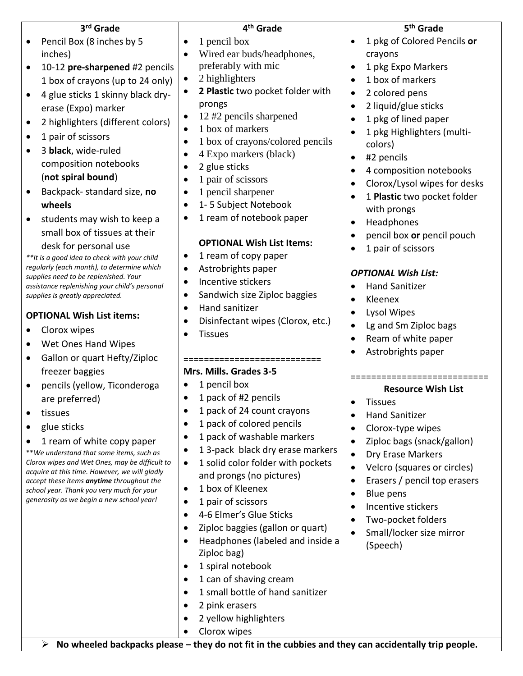| 3rd Grade                                                                                       | 4 <sup>th</sup> Grade                                                                               | 5 <sup>th</sup> Grade              |
|-------------------------------------------------------------------------------------------------|-----------------------------------------------------------------------------------------------------|------------------------------------|
| Pencil Box (8 inches by 5                                                                       | 1 pencil box<br>$\bullet$                                                                           | 1 pkg of Colored Pencils or        |
| inches)                                                                                         | Wired ear buds/headphones,<br>$\bullet$                                                             | crayons                            |
| 10-12 pre-sharpened #2 pencils<br>$\bullet$                                                     | preferably with mic                                                                                 | 1 pkg Expo Markers                 |
| 1 box of crayons (up to 24 only)                                                                | 2 highlighters<br>$\bullet$                                                                         | 1 box of markers                   |
| 4 glue sticks 1 skinny black dry-<br>$\bullet$                                                  | 2 Plastic two pocket folder with<br>$\bullet$                                                       | 2 colored pens<br>$\bullet$        |
| erase (Expo) marker                                                                             | prongs                                                                                              | 2 liquid/glue sticks<br>$\bullet$  |
| 2 highlighters (different colors)<br>$\bullet$                                                  | 12 #2 pencils sharpened<br>$\bullet$                                                                | 1 pkg of lined paper               |
| 1 pair of scissors<br>$\bullet$                                                                 | 1 box of markers<br>$\bullet$                                                                       | 1 pkg Highlighters (multi-         |
| 3 black, wide-ruled<br>$\bullet$                                                                | 1 box of crayons/colored pencils<br>$\bullet$                                                       | colors)                            |
| composition notebooks                                                                           | 4 Expo markers (black)<br>$\bullet$                                                                 | #2 pencils<br>$\bullet$            |
| (not spiral bound)                                                                              | 2 glue sticks<br>$\bullet$                                                                          | 4 composition notebooks            |
| Backpack-standard size, no<br>$\bullet$                                                         | 1 pair of scissors<br>$\bullet$                                                                     | Clorox/Lysol wipes for desks       |
| wheels                                                                                          | 1 pencil sharpener<br>$\bullet$<br>1-5 Subject Notebook<br>$\bullet$                                | 1 Plastic two pocket folder        |
|                                                                                                 | 1 ream of notebook paper<br>٠                                                                       | with prongs                        |
| students may wish to keep a<br>$\bullet$<br>small box of tissues at their                       |                                                                                                     | Headphones                         |
|                                                                                                 | <b>OPTIONAL Wish List Items:</b>                                                                    | pencil box or pencil pouch         |
| desk for personal use<br>**It is a good idea to check with your child                           | 1 ream of copy paper<br>$\bullet$                                                                   | 1 pair of scissors                 |
| regularly (each month), to determine which                                                      | Astrobrights paper<br>$\bullet$                                                                     |                                    |
| supplies need to be replenished. Your<br>assistance replenishing your child's personal          | Incentive stickers<br>$\bullet$                                                                     | <b>OPTIONAL Wish List:</b>         |
| supplies is greatly appreciated.                                                                | Sandwich size Ziploc baggies<br>$\bullet$                                                           | <b>Hand Sanitizer</b><br>Kleenex   |
|                                                                                                 | Hand sanitizer<br>$\bullet$                                                                         | <b>Lysol Wipes</b>                 |
| <b>OPTIONAL Wish List items:</b>                                                                | Disinfectant wipes (Clorox, etc.)<br>$\bullet$                                                      | Lg and Sm Ziploc bags<br>$\bullet$ |
| Clorox wipes                                                                                    | <b>Tissues</b><br>$\bullet$                                                                         | Ream of white paper<br>$\bullet$   |
| Wet Ones Hand Wipes<br>$\bullet$                                                                |                                                                                                     | Astrobrights paper                 |
| Gallon or quart Hefty/Ziploc<br>٠                                                               | ==============                                                                                      |                                    |
| freezer baggies                                                                                 | Mrs. Mills. Grades 3-5                                                                              |                                    |
| pencils (yellow, Ticonderoga<br>$\bullet$                                                       | 1 pencil box<br>$\bullet$                                                                           | <b>Resource Wish List</b>          |
| are preferred)                                                                                  | 1 pack of #2 pencils<br>$\bullet$                                                                   | <b>Tissues</b>                     |
| tissues                                                                                         | 1 pack of 24 count crayons<br>$\bullet$                                                             | <b>Hand Sanitizer</b>              |
| glue sticks<br>$\bullet$                                                                        | 1 pack of colored pencils<br>$\bullet$                                                              | Clorox-type wipes<br>$\bullet$     |
| 1 ream of white copy paper                                                                      | 1 pack of washable markers<br>$\bullet$                                                             | Ziploc bags (snack/gallon)         |
| **We understand that some items, such as                                                        | 13-pack black dry erase markers<br>$\bullet$                                                        | Dry Erase Markers                  |
| Clorox wipes and Wet Ones, may be difficult to<br>acquire at this time. However, we will gladly | 1 solid color folder with pockets<br>$\bullet$                                                      | Velcro (squares or circles)        |
| accept these items anytime throughout the                                                       | and prongs (no pictures)                                                                            | Erasers / pencil top erasers       |
| school year. Thank you very much for your<br>generosity as we begin a new school year!          | 1 box of Kleenex<br>$\bullet$                                                                       | Blue pens                          |
|                                                                                                 | 1 pair of scissors<br>$\bullet$                                                                     | Incentive stickers                 |
|                                                                                                 | 4-6 Elmer's Glue Sticks<br>$\bullet$                                                                | Two-pocket folders                 |
|                                                                                                 | Ziploc baggies (gallon or quart)<br>$\bullet$                                                       | Small/locker size mirror           |
|                                                                                                 | Headphones (labeled and inside a<br>$\bullet$                                                       | (Speech)                           |
|                                                                                                 | Ziploc bag)<br>1 spiral notebook<br>$\bullet$                                                       |                                    |
|                                                                                                 | 1 can of shaving cream<br>$\bullet$                                                                 |                                    |
|                                                                                                 | 1 small bottle of hand sanitizer<br>$\bullet$                                                       |                                    |
|                                                                                                 | 2 pink erasers<br>$\bullet$                                                                         |                                    |
|                                                                                                 | 2 yellow highlighters<br>$\bullet$                                                                  |                                    |
|                                                                                                 | Clorox wipes<br>٠                                                                                   |                                    |
| $\blacktriangleright$                                                                           | No wheeled backpacks please - they do not fit in the cubbies and they can accidentally trip people. |                                    |